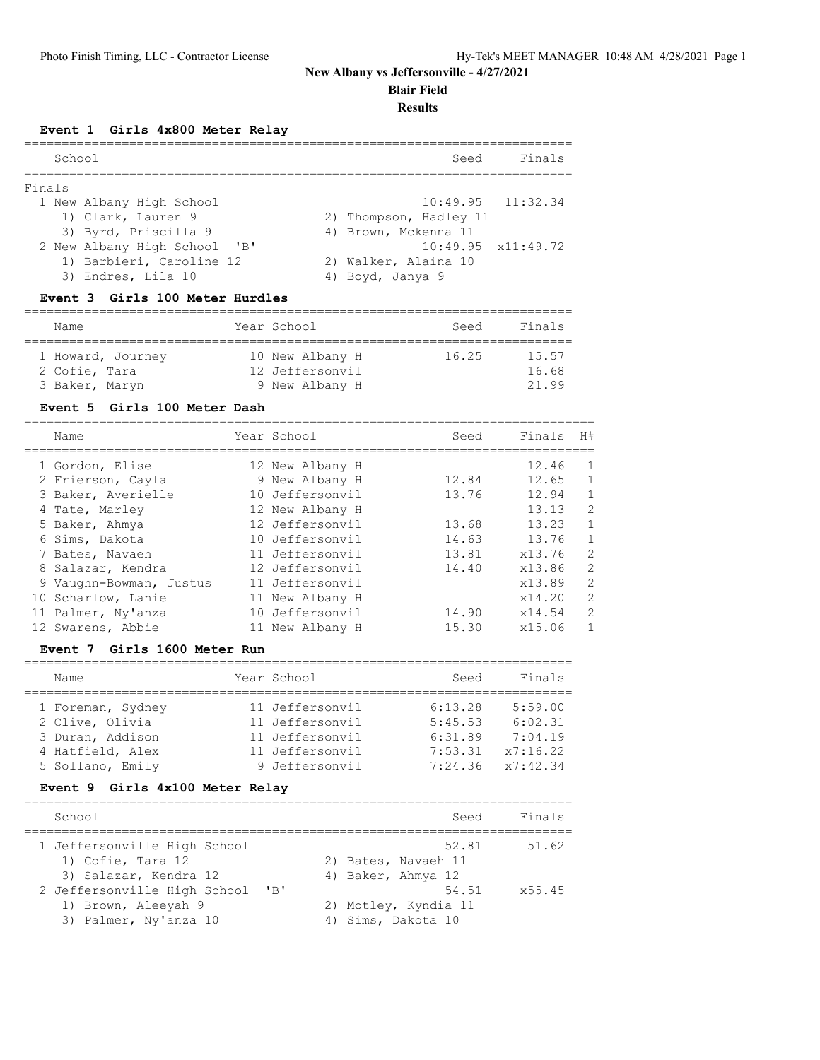**Blair Field**

### **Results**

## **Event 1 Girls 4x800 Meter Relay**

|        | School                       | Finals<br>Seed             |
|--------|------------------------------|----------------------------|
| Finals |                              |                            |
|        | 1 New Albany High School     | $10:49.95$ $11:32.34$      |
|        | 1) Clark, Lauren 9           | 2) Thompson, Hadley 11     |
|        | 3) Byrd, Priscilla 9         | 4) Brown, Mckenna 11       |
|        | 2 New Albany High School 'B' | $10:49.95 \times 11:49.72$ |
|        | 1) Barbieri, Caroline 12     | 2) Walker, Alaina 10       |
|        | 3) Endres, Lila 10           | 4) Boyd, Janya 9           |

## **Event 3 Girls 100 Meter Hurdles**

| Name                               | Year School                        | Finals<br>Seed          |
|------------------------------------|------------------------------------|-------------------------|
| 1 Howard, Journey<br>2 Cofie, Tara | 10 New Albany H<br>12 Jeffersonvil | 16.25<br>15.57<br>16.68 |
| 3 Baker, Maryn                     | 9 New Albany H                     | 21.99                   |

## **Event 5 Girls 100 Meter Dash**

| Name                    | Year School     | Seed  | Finals | H#             |
|-------------------------|-----------------|-------|--------|----------------|
| 1 Gordon, Elise         | 12 New Albany H |       | 12.46  | $\mathbf{1}$   |
| 2 Frierson, Cayla       | 9 New Albany H  | 12.84 | 12.65  | $\mathbf{1}$   |
| 3 Baker, Averielle      | 10 Jeffersonvil | 13.76 | 12.94  | $\mathbf{1}$   |
| 4 Tate, Marley          | 12 New Albany H |       | 13.13  | $\overline{2}$ |
| 5 Baker, Ahmya          | 12 Jeffersonvil | 13.68 | 13.23  | $\mathbf{1}$   |
| 6 Sims, Dakota          | 10 Jeffersonvil | 14.63 | 13.76  | $\mathbf{1}$   |
| 7 Bates, Navaeh         | 11 Jeffersonvil | 13.81 | x13.76 | $\overline{2}$ |
| 8 Salazar, Kendra       | 12 Jeffersonvil | 14.40 | x13.86 | $\overline{c}$ |
| 9 Vaughn-Bowman, Justus | 11 Jeffersonvil |       | x13.89 | $\mathfrak{D}$ |
| 10 Scharlow, Lanie      | 11 New Albany H |       | x14.20 | $\overline{2}$ |
| 11 Palmer, Ny'anza      | 10 Jeffersonvil | 14.90 | x14.54 | $\mathfrak{D}$ |
| 12 Swarens, Abbie       | 11 New Albany H | 15.30 | x15.06 | 1              |

## **Event 7 Girls 1600 Meter Run**

| Name              | Year School     | Seed    | Finals   |
|-------------------|-----------------|---------|----------|
|                   |                 |         |          |
| 1 Foreman, Sydney | 11 Jeffersonvil | 6:13.28 | 5:59.00  |
| 2 Clive, Olivia   | 11 Jeffersonvil | 5:45.53 | 6:02.31  |
| 3 Duran, Addison  | 11 Jeffersonvil | 6:31.89 | 7:04.19  |
| 4 Hatfield, Alex  | 11 Jeffersonvil | 7:53.31 | x7:16.22 |
| 5 Sollano, Emily  | 9 Jeffersonvil  | 7:24.36 | x7:42.34 |

## **Event 9 Girls 4x100 Meter Relay**

| School                                                                       |           | Seed                                                | Finals |
|------------------------------------------------------------------------------|-----------|-----------------------------------------------------|--------|
| 1 Jeffersonville High School<br>1) Cofie, Tara 12<br>3) Salazar, Kendra 12   |           | 52.81<br>2) Bates, Navaeh 11<br>4) Baker, Ahmya 12  | 51.62  |
| 2 Jeffersonville High School<br>1) Brown, Aleeyah 9<br>3) Palmer, Ny'anza 10 | $'$ B $'$ | 54.51<br>2) Motley, Kyndia 11<br>4) Sims, Dakota 10 | x55.45 |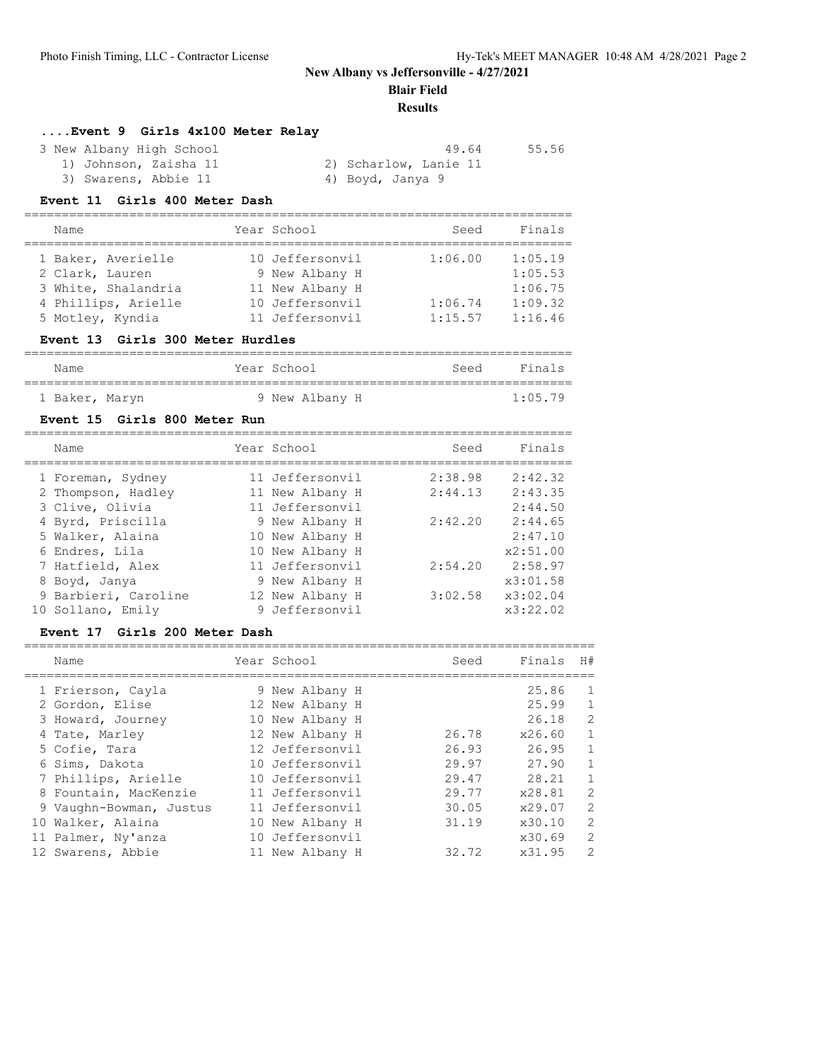**Blair Field**

### **Results**

=========================================================================

## **....Event 9 Girls 4x100 Meter Relay**

| 3 New Albany High School | 49.64                 | 55.56 |
|--------------------------|-----------------------|-------|
| 1) Johnson, Zaisha 11    | 2) Scharlow, Lanie 11 |       |
| 3) Swarens, Abbie 11     | 4) Boyd, Janya 9      |       |

### **Event 11 Girls 400 Meter Dash**

| Name                | Year School     | Seed    | Finals  |
|---------------------|-----------------|---------|---------|
| 1 Baker, Averielle  | 10 Jeffersonvil | 1:06.00 | 1:05.19 |
| 2 Clark, Lauren     | 9 New Albany H  |         | 1:05.53 |
| 3 White, Shalandria | 11 New Albany H |         | 1:06.75 |
| 4 Phillips, Arielle | 10 Jeffersonvil | 1:06.74 | 1:09.32 |
| 5 Motley, Kyndia    | 11 Jeffersonvil | 1:15.57 | 1:16.46 |

### **Event 13 Girls 300 Meter Hurdles**

| Name           |  | Year School    | Seed | Finals  |
|----------------|--|----------------|------|---------|
| 1 Baker, Maryn |  | 9 New Albany H |      | 1:05.79 |

### **Event 15 Girls 800 Meter Run**

| Name                 | Year School     | Seed    | Finals   |
|----------------------|-----------------|---------|----------|
| 1 Foreman, Sydney    | 11 Jeffersonvil | 2:38.98 | 2:42.32  |
| 2 Thompson, Hadley   | 11 New Albany H | 2:44.13 | 2:43.35  |
| 3 Clive, Olivia      | 11 Jeffersonvil |         | 2:44.50  |
| 4 Byrd, Priscilla    | 9 New Albany H  | 2:42.20 | 2:44.65  |
| 5 Walker, Alaina     | 10 New Albany H |         | 2:47.10  |
| 6 Endres, Lila       | 10 New Albany H |         | x2:51.00 |
| 7 Hatfield, Alex     | 11 Jeffersonvil | 2:54.20 | 2:58.97  |
| 8 Boyd, Janya        | 9 New Albany H  |         | x3:01.58 |
| 9 Barbieri, Caroline | 12 New Albany H | 3:02.58 | x3:02.04 |
| 10 Sollano, Emily    | 9 Jeffersonvil  |         | x3:22.02 |

#### **Event 17 Girls 200 Meter Dash**

| Name                    | Year School     | Seed  | Finals | H#           |
|-------------------------|-----------------|-------|--------|--------------|
| 1 Frierson, Cayla       | 9 New Albany H  |       | 25.86  | 1            |
| 2 Gordon, Elise         | 12 New Albany H |       | 25.99  | $\mathbf{1}$ |
| 3 Howard, Journey       | 10 New Albany H |       | 26.18  | 2            |
| 4 Tate, Marley          | 12 New Albany H | 26.78 | x26.60 | $\mathbf{1}$ |
| 5 Cofie, Tara           | 12 Jeffersonvil | 26.93 | 26.95  | $\mathbf{1}$ |
| 6 Sims, Dakota          | 10 Jeffersonvil | 29.97 | 27.90  | 1            |
| 7 Phillips, Arielle     | 10 Jeffersonvil | 29.47 | 28.21  | $\mathbf{1}$ |
| 8 Fountain, MacKenzie   | 11 Jeffersonvil | 29.77 | x28.81 | 2            |
| 9 Vaughn-Bowman, Justus | 11 Jeffersonvil | 30.05 | x29.07 | 2            |
| 10 Walker, Alaina       | 10 New Albany H | 31.19 | x30.10 | 2            |
| 11 Palmer, Ny'anza      | 10 Jeffersonvil |       | x30.69 | 2            |
| 12 Swarens, Abbie       | 11 New Albany H | 32.72 | x31.95 | 2            |
|                         |                 |       |        |              |

============================================================================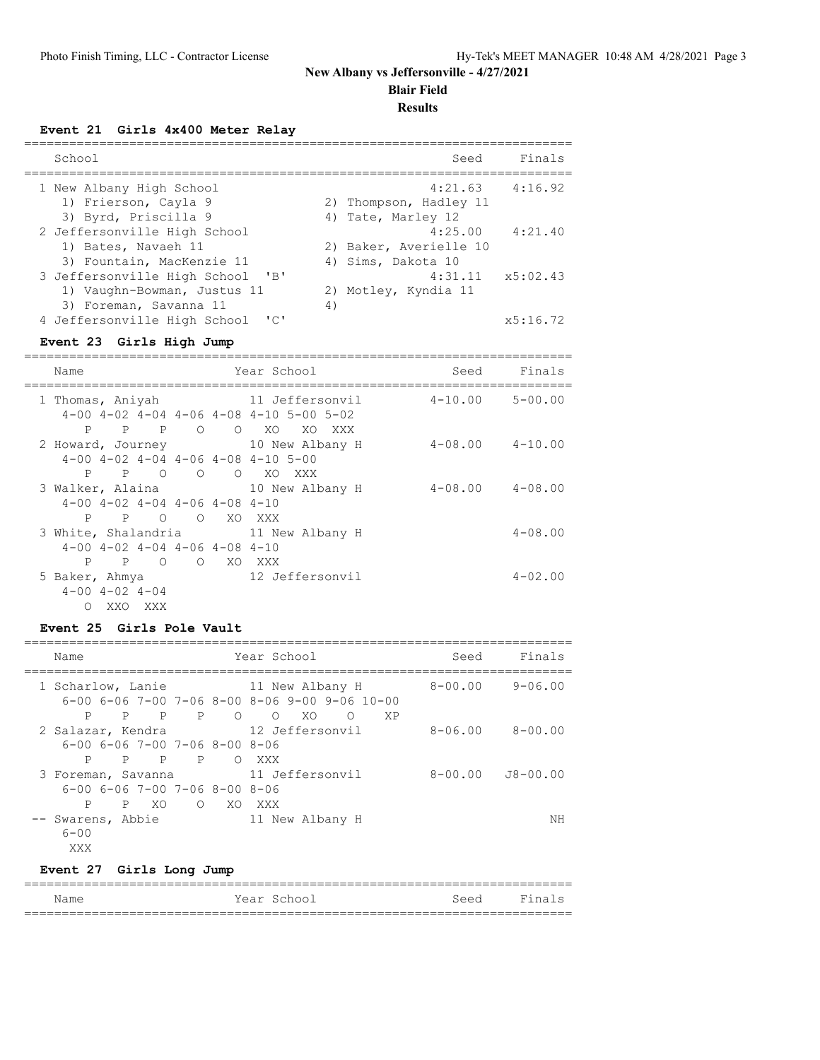**Blair Field**

#### **Results**

**Event 21 Girls 4x400 Meter Relay**

| School                                                                                                              | Seed                                                    | Finals              |
|---------------------------------------------------------------------------------------------------------------------|---------------------------------------------------------|---------------------|
| 1 New Albany High School<br>1) Frierson, Cayla 9<br>3) Byrd, Priscilla 9                                            | 2) Thompson, Hadley 11<br>4) Tate, Marley 12            | $4:21.63$ $4:16.92$ |
| 2 Jeffersonville High School<br>1) Bates, Navaeh 11<br>3) Fountain, MacKenzie 11                                    | 4:25.00<br>2) Baker, Averielle 10<br>4) Sims, Dakota 10 | 4:21.40             |
| 3 Jeffersonville High School<br>$^{\prime}$ B <sup>1</sup><br>1) Vaughn-Bowman, Justus 11<br>3) Foreman, Savanna 11 | 4:31.11<br>2) Motley, Kyndia 11<br>4)                   | x5:02.43            |
| 4 Jeffersonville High School<br>$\overline{\phantom{a}}$                                                            |                                                         | x5:16.72            |

#### **Event 23 Girls High Jump**

========================================================================= Name Tear School Seed Finals ========================================================================= 1 Thomas, Aniyah 11 Jeffersonvil 4-10.00 5-00.00 4-00 4-02 4-04 4-06 4-08 4-10 5-00 5-02 P P P O O XO XO XXX 2 Howard, Journey 10 New Albany H 4-08.00 4-10.00 4-00 4-02 4-04 4-06 4-08 4-10 5-00 P P O O O XO XXX 3 Walker, Alaina 10 New Albany H 4-08.00 4-08.00 4-00 4-02 4-04 4-06 4-08 4-10 P P O O XO XXX 3 White, Shalandria 11 New Albany H 4-08.00 4-00 4-02 4-04 4-06 4-08 4-10 P P O O XO XXX 5 Baker, Ahmya 12 Jeffersonvil 4-02.00 4-00 4-02 4-04 O XXO XXX

### **Event 25 Girls Pole Vault**

| Name                                                  |    |              |                |                | Year School                                                                                                                  |    |          | Seed | Finals      |                  |
|-------------------------------------------------------|----|--------------|----------------|----------------|------------------------------------------------------------------------------------------------------------------------------|----|----------|------|-------------|------------------|
|                                                       |    |              |                |                | 1 Scharlow, Lanie                         11 New Albany H<br>$6-00$ $6-06$ $7-00$ $7-06$ $8-00$ $8-06$ $9-00$ $9-06$ $10-00$ |    |          |      | 8-00.00     | 9-06.00          |
| P                                                     | P  | P            | $\overline{P}$ | $\overline{O}$ | $\Omega$                                                                                                                     | XO | $\Omega$ | XP   |             |                  |
| 2 Salazar, Kendra                                     |    |              |                |                | 12 Jeffersonvil                                                                                                              |    |          |      | $8 - 06.00$ | 8-00.00          |
| $6 - 00$ $6 - 06$ $7 - 00$ $7 - 06$ $8 - 00$ $8 - 06$ |    |              |                |                |                                                                                                                              |    |          |      |             |                  |
| P                                                     | P. | $\mathsf{P}$ | P              | $\bigcirc$     | XXX                                                                                                                          |    |          |      |             |                  |
| 3 Foreman, Savanna                                    |    |              |                |                | 11 Jeffersonvil                                                                                                              |    |          |      |             | 8-00.00 J8-00.00 |
| $6 - 00$ $6 - 06$ $7 - 00$ $7 - 06$ $8 - 00$ $8 - 06$ |    |              |                |                |                                                                                                                              |    |          |      |             |                  |
| P                                                     |    | P XO         |                | O XO XXX       |                                                                                                                              |    |          |      |             |                  |
| Swarens, Abbie<br>$6 - 00$<br>XXX                     |    |              |                |                | 11 New Albany H                                                                                                              |    |          |      |             | NΗ               |

### **Event 27 Girls Long Jump**

| Name |  | Year School | Seed | Final<br>$\overline{\phantom{0}}$ |  |
|------|--|-------------|------|-----------------------------------|--|
|      |  |             |      |                                   |  |